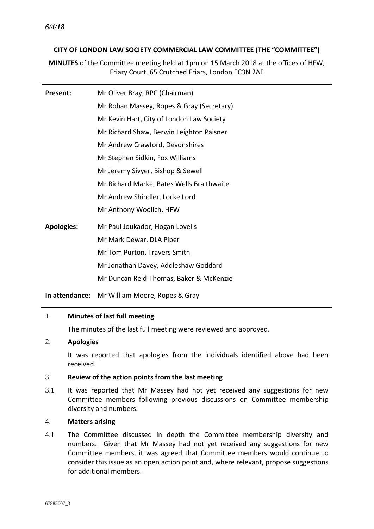### **CITY OF LONDON LAW SOCIETY COMMERCIAL LAW COMMITTEE (THE "COMMITTEE")**

**MINUTES** of the Committee meeting held at 1pm on 15 March 2018 at the offices of HFW, Friary Court, 65 Crutched Friars, London EC3N 2AE

| Present:          | Mr Oliver Bray, RPC (Chairman)            |
|-------------------|-------------------------------------------|
|                   | Mr Rohan Massey, Ropes & Gray (Secretary) |
|                   | Mr Kevin Hart, City of London Law Society |
|                   | Mr Richard Shaw, Berwin Leighton Paisner  |
|                   | Mr Andrew Crawford, Devonshires           |
|                   | Mr Stephen Sidkin, Fox Williams           |
|                   | Mr Jeremy Sivyer, Bishop & Sewell         |
|                   | Mr Richard Marke, Bates Wells Braithwaite |
|                   | Mr Andrew Shindler, Locke Lord            |
|                   | Mr Anthony Woolich, HFW                   |
| <b>Apologies:</b> | Mr Paul Joukador, Hogan Lovells           |
|                   | Mr Mark Dewar, DLA Piper                  |
|                   | Mr Tom Purton, Travers Smith              |
|                   | Mr Jonathan Davey, Addleshaw Goddard      |
|                   | Mr Duncan Reid-Thomas, Baker & McKenzie   |
|                   |                                           |

**In attendance:** Mr William Moore, Ropes & Gray

#### 1. **Minutes of last full meeting**

The minutes of the last full meeting were reviewed and approved.

# 2. **Apologies**

It was reported that apologies from the individuals identified above had been received.

# 3. **Review of the action points from the last meeting**

3.1 It was reported that Mr Massey had not yet received any suggestions for new Committee members following previous discussions on Committee membership diversity and numbers.

#### 4. **Matters arising**

4.1 The Committee discussed in depth the Committee membership diversity and numbers. Given that Mr Massey had not yet received any suggestions for new Committee members, it was agreed that Committee members would continue to consider this issue as an open action point and, where relevant, propose suggestions for additional members.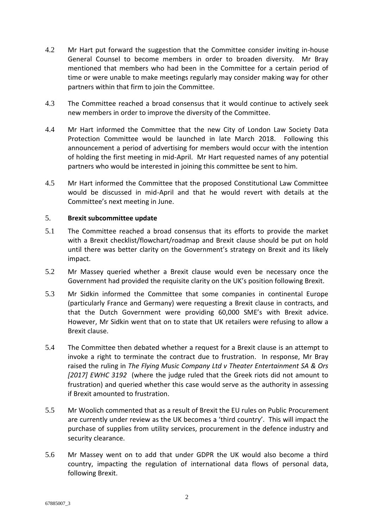- 4.2 Mr Hart put forward the suggestion that the Committee consider inviting in-house General Counsel to become members in order to broaden diversity. Mr Bray mentioned that members who had been in the Committee for a certain period of time or were unable to make meetings regularly may consider making way for other partners within that firm to join the Committee.
- 4.3 The Committee reached a broad consensus that it would continue to actively seek new members in order to improve the diversity of the Committee.
- 4.4 Mr Hart informed the Committee that the new City of London Law Society Data Protection Committee would be launched in late March 2018. Following this announcement a period of advertising for members would occur with the intention of holding the first meeting in mid-April. Mr Hart requested names of any potential partners who would be interested in joining this committee be sent to him.
- 4.5 Mr Hart informed the Committee that the proposed Constitutional Law Committee would be discussed in mid-April and that he would revert with details at the Committee's next meeting in June.

#### 5. **Brexit subcommittee update**

- 5.1 The Committee reached a broad consensus that its efforts to provide the market with a Brexit checklist/flowchart/roadmap and Brexit clause should be put on hold until there was better clarity on the Government's strategy on Brexit and its likely impact.
- 5.2 Mr Massey queried whether a Brexit clause would even be necessary once the Government had provided the requisite clarity on the UK's position following Brexit.
- 5.3 Mr Sidkin informed the Committee that some companies in continental Europe (particularly France and Germany) were requesting a Brexit clause in contracts, and that the Dutch Government were providing 60,000 SME's with Brexit advice. However, Mr Sidkin went that on to state that UK retailers were refusing to allow a Brexit clause.
- 5.4 The Committee then debated whether a request for a Brexit clause is an attempt to invoke a right to terminate the contract due to frustration. In response, Mr Bray raised the ruling in *[The Flying Music Company Ltd v Theater Entertainment SA & Ors](https://login.westlaw.co.uk/maf/wluk/app/document?&srguid=i0ad6ada7000001622fa4401d86053b75&docguid=IDC76C3F0DE8F11E7B67792D67509BF3E&hitguid=IDC76C3F0DE8F11E7B67792D67509BF3E&rank=1&spos=1&epos=1&td=311&crumb-action=append&context=15&resolvein=true)  [\[2017\] EWHC 3192](https://login.westlaw.co.uk/maf/wluk/app/document?&srguid=i0ad6ada7000001622fa4401d86053b75&docguid=IDC76C3F0DE8F11E7B67792D67509BF3E&hitguid=IDC76C3F0DE8F11E7B67792D67509BF3E&rank=1&spos=1&epos=1&td=311&crumb-action=append&context=15&resolvein=true)* (where the judge ruled that the Greek riots did not amount to frustration) and queried whether this case would serve as the authority in assessing if Brexit amounted to frustration.
- 5.5 Mr Woolich commented that as a result of Brexit the EU rules on Public Procurement are currently under [review](http://ec.europa.eu/docsroom/documents/27347) as the UK becomes a 'third country'. This will impact the purchase of supplies from utility services, procurement in the defence industry and security clearance.
- 5.6 Mr Massey went on to add that under GDPR the UK would also become a third country, impacting the regulation of international data flows of personal data, following Brexit.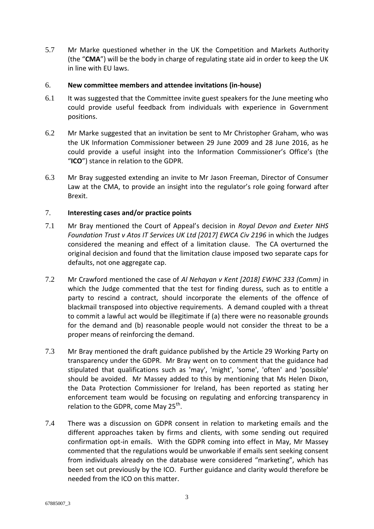5.7 Mr Marke questioned whether in the UK the Competition and Markets Authority (the "**CMA**") will be the body in charge of regulating state aid in order to keep the UK in line with EU laws.

#### 6. **New committee members and attendee invitations (in-house)**

- 6.1 It was suggested that the Committee invite guest speakers for the June meeting who could provide useful feedback from individuals with experience in Government positions.
- 6.2 Mr Marke suggested that an invitation be sent to Mr Christopher Graham, who was the UK Information Commissioner between 29 June 2009 and 28 June 2016, as he could provide a useful insight into the Information Commissioner's Office's (the "**ICO**") stance in relation to the GDPR.
- 6.3 Mr Bray suggested extending an invite to Mr Jason Freeman, Director of Consumer Law at the CMA, to provide an insight into the regulator's role going forward after Brexit.

### 7. **Interesting cases and/or practice points**

- 7.1 Mr Bray mentioned the Court of Appeal's decision in *[Royal Devon and Exeter NHS](https://login.westlaw.co.uk/maf/wluk/app/document?&srguid=i0ad6ada6000001624ccbec01d6df409f&docguid=IC7F8F0B0E57E11E79CA8DBA5C06D8A2B&hitguid=IC7F8F0B0E57E11E79CA8DBA5C06D8A2B&rank=1&spos=1&epos=1&td=26&crumb-action=append&context=12&resolvein=true)  [Foundation Trust v Atos IT Services UK Ltd \[2017\] EWCA Civ 2196](https://login.westlaw.co.uk/maf/wluk/app/document?&srguid=i0ad6ada6000001624ccbec01d6df409f&docguid=IC7F8F0B0E57E11E79CA8DBA5C06D8A2B&hitguid=IC7F8F0B0E57E11E79CA8DBA5C06D8A2B&rank=1&spos=1&epos=1&td=26&crumb-action=append&context=12&resolvein=true)* in which the Judges considered the meaning and effect of a limitation clause. The CA overturned the original decision and found that the limitation clause imposed two separate caps for defaults, not one aggregate cap.
- 7.2 Mr Crawford mentioned the case of *[Al Nehayan v Kent \[2018\] EWHC 333 \(Comm\)](https://login.westlaw.co.uk/maf/wluk/app/document?&srguid=i0ad62903000001624ceef17014192fe6&docguid=IBB0323401AE811E88EA19E4F333AE3E4&hitguid=IBB0323401AE811E88EA19E4F333AE3E4&rank=2&spos=2&epos=2&td=70&crumb-action=append&context=23&resolvein=true)* in which the Judge commented that the test for finding duress, such as to entitle a party to rescind a contract, should incorporate the elements of the offence of blackmail transposed into objective requirements. A demand coupled with a threat to commit a lawful act would be illegitimate if (a) there were no reasonable grounds for the demand and (b) reasonable people would not consider the threat to be a proper means of reinforcing the demand.
- 7.3 Mr Bray mentioned the draft guidance published by the Article 29 Working Party on transparency under the GDPR. Mr Bray went on to comment that the guidance had stipulated that qualifications such as 'may', 'might', 'some', 'often' and 'possible' should be avoided. Mr Massey added to this by mentioning that Ms Helen Dixon, the Data Protection Commissioner for Ireland, has been reported as stating her enforcement team would be focusing on regulating and enforcing transparency in relation to the GDPR, come May 25<sup>th</sup>.
- 7.4 There was a discussion on GDPR consent in relation to marketing emails and the different approaches taken by firms and clients, with some sending out required confirmation opt-in emails. With the GDPR coming into effect in May, Mr Massey commented that the regulations would be unworkable if emails sent seeking consent from individuals already on the database were considered "marketing", which has been set out previously by the ICO. Further guidance and clarity would therefore be needed from the ICO on this matter.